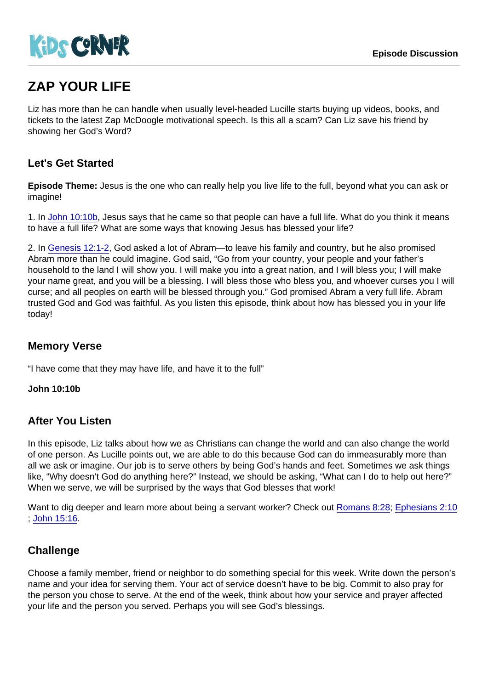# ZAP YOUR LIFE

Liz has more than he can handle when usually level-headed Lucille starts buying up videos, books, and tickets to the latest Zap McDoogle motivational speech. Is this all a scam? Can Liz save his friend by showing her God's Word?

## Let's Get Started

Episode Theme: Jesus is the one who can really help you live life to the full, beyond what you can ask or imagine!

1. In [John 10:10b](https://www.biblegateway.com/passage/?search=John+10:10b), Jesus says that he came so that people can have a full life. What do you think it means to have a full life? What are some ways that knowing Jesus has blessed your life?

2. In [Genesis 12:1-2](https://www.biblegateway.com/passage/?search=Genesis+12:1-2), God asked a lot of Abram—to leave his family and country, but he also promised Abram more than he could imagine. God said, "Go from your country, your people and your father's household to the land I will show you. I will make you into a great nation, and I will bless you; I will make your name great, and you will be a blessing. I will bless those who bless you, and whoever curses you I will curse; and all peoples on earth will be blessed through you." God promised Abram a very full life. Abram trusted God and God was faithful. As you listen this episode, think about how has blessed you in your life today!

### Memory Verse

"I have come that they may have life, and have it to the full"

John 10:10b

#### After You Listen

In this episode, Liz talks about how we as Christians can change the world and can also change the world of one person. As Lucille points out, we are able to do this because God can do immeasurably more than all we ask or imagine. Our job is to serve others by being God's hands and feet. Sometimes we ask things like, "Why doesn't God do anything here?" Instead, we should be asking, "What can I do to help out here?" When we serve, we will be surprised by the ways that God blesses that work!

Want to dig deeper and learn more about being a servant worker? Check out [Romans 8:28](https://www.biblegateway.com/passage/?search=Romans+8:28); [Ephesians 2:10](https://www.biblegateway.com/passage/?search=Ephesians+2:10) ; [John 15:16.](https://www.biblegateway.com/passage/?search=John+15:16)

## **Challenge**

Choose a family member, friend or neighbor to do something special for this week. Write down the person's name and your idea for serving them. Your act of service doesn't have to be big. Commit to also pray for the person you chose to serve. At the end of the week, think about how your service and prayer affected your life and the person you served. Perhaps you will see God's blessings.